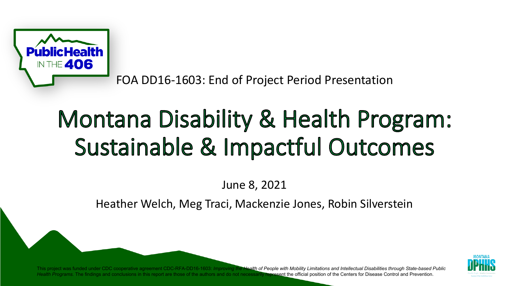

FOA DD16-1603: End of Project Period Presentation

# Montana Disability & Health Program: Sustainable & Impactful Outcomes

June 8, 2021

Heather Welch, Meg Traci, Mackenzie Jones, Robin Silverstein



This project was funded under CDC cooperative agreement CDC-RFA-DD16-1603: *Improving the Health of People with Mobility Limitations and Intellectual Disabilities through State-based Public*  Health Programs. The findings and conclusions in this report are those of the authors and do not necessarily represent the official position of the Centers for Disease Control and Prevention.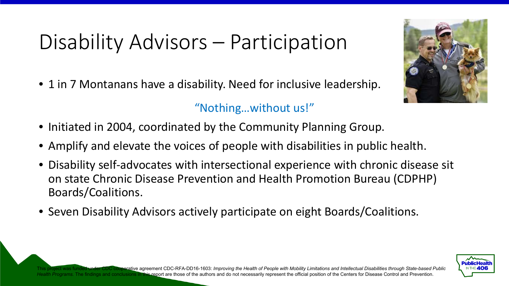## Disability Advisors – Participation

• 1 in 7 Montanans have a disability. Need for inclusive leadership.

#### "Nothing…without us!"

- Initiated in 2004, coordinated by the Community Planning Group.
- Amplify and elevate the voices of people with disabilities in public health.
- Disability self-advocates with intersectional experience with chronic disease sit on state Chronic Disease Prevention and Health Promotion Bureau (CDPHP) Boards/Coalitions.
- Seven Disability Advisors actively participate on eight Boards/Coalitions.



CDC cooperative agreement CDC-RFA-DD16-1603: *Improving the Health of People with Mobility Limitations and Intellectual Disabilities through State-based Public* Health Programs. The findings and conclusions in this report are those of the authors and do not necessarily represent the official position of the Centers for Disease Control and Prevention.

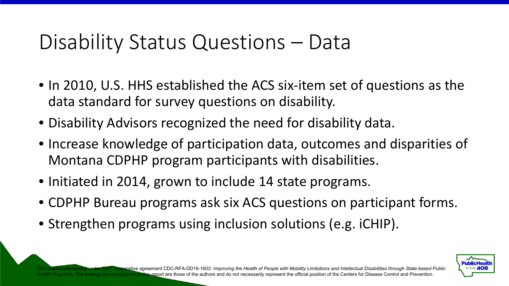#### Disability Status Questions – Data

- In 2010, U.S. HHS established the ACS six-item set of questions as the data standard for survey questions on disability.
- Disability Advisors recognized the need for disability data.
- Increase knowledge of participation data, outcomes and disparities of Montana CDPHP program participants with disabilities.
- Initiated in 2014, grown to include 14 state programs.
- CDPHP Bureau programs ask six ACS questions on participant forms.
- Strengthen programs using inclusion solutions (e.g. iCHIP).



TCDC cooperative agreement CDC-RFA-DD16-1603: *Improving the Health of People with Mobility Limitations and Intellectual Disabilities through State-based Public* Programs. The findings and conclusions in this report are those of the authors and do not necessarily represent the official position of the Centers for Disease Control and Prevention.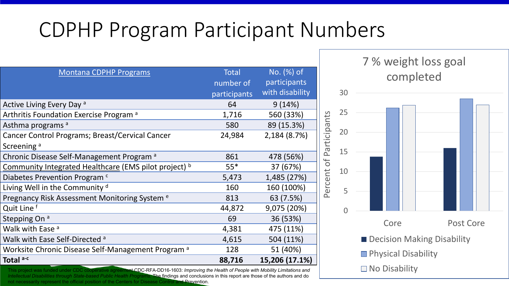#### CDPHP Program Participant Numbers

| <b>Montana CDPHP Programs</b>                                 | <b>Total</b> | No. (%) of      |
|---------------------------------------------------------------|--------------|-----------------|
|                                                               | number of    | participants    |
|                                                               | participants | with disability |
| Active Living Every Day <sup>a</sup>                          | 64           | 9(14%)          |
| Arthritis Foundation Exercise Program <sup>a</sup>            | 1,716        | 560 (33%)       |
| Asthma programs a                                             | 580          | 89 (15.3%)      |
| Cancer Control Programs; Breast/Cervical Cancer               | 24,984       | 2,184 (8.7%)    |
| Screening <sup>a</sup>                                        |              |                 |
| Chronic Disease Self-Management Program <sup>a</sup>          | 861          | 478 (56%)       |
| Community Integrated Healthcare (EMS pilot project) b         | $55*$        | 37 (67%)        |
| Diabetes Prevention Program <sup>c</sup>                      | 5,473        | 1,485 (27%)     |
| Living Well in the Community d                                | 160          | 160 (100%)      |
| Pregnancy Risk Assessment Monitoring System <sup>e</sup>      | 813          | 63 (7.5%)       |
| Quit Line f                                                   | 44,872       | 9,075 (20%)     |
| Stepping On <sup>a</sup>                                      | 69           | 36 (53%)        |
| Walk with Ease <sup>a</sup>                                   | 4,381        | 475 (11%)       |
| Walk with Ease Self-Directed <sup>a</sup>                     | 4,615        | 504 (11%)       |
| Worksite Chronic Disease Self-Management Program <sup>a</sup> | 128          | 51 (40%)        |
| Total a-c                                                     | 88,716       | 15,206 (17.1%)  |

This project was funded under CDC cooperative agreement CDC-RFA-DD16-1603: *Improving the Health of People with Mobility Limitations and* **No Disability** *Intellectual Disabilities through State-based Public Health Programs. The findings and conclusions in this report are those of the authors and do* not necessarily represent the official position of the Centers for Disease Control and Prevention.



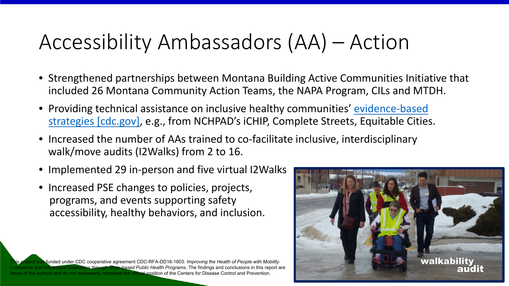#### Accessibility Ambassadors (AA) – Action

- Strengthened partnerships between Montana Building Active Communities Initiative that included 26 Montana Community Action Teams, the NAPA Program, CILs and MTDH.
- Providing technical assistance on inclusive healthy communities' evidence-based [strategies \[cdc.gov\], e.g., from NCHPAD's iCHIP, Complete Streets, Equitable Cities](https://urldefense.com/v3/__https:/www.cdc.gov/ncbddd/disabilityandhealth/reaching-people.html__;!!GaaboA!_v2DAuD85ClsRraVeIq8LpUfnDmOaOXkrDGs-w-LVfczdusYDipZL_VXN-I3e1-3XRTH$).
- Increased the number of AAs trained to co-facilitate inclusive, interdisciplinary walk/move audits (I2Walks) from 2 to 16.
- Implemented 29 in-person and five virtual I2Walks
- Increased PSE changes to policies, projects, programs, and events supporting safety, accessibility, healthy behaviors, and inclusion.

funded under CDC cooperative agreement CDC-RFA-DD16-1603: *Improving the Health of People with Mobility Limitations and Intellectual Disabilities through State-based Public Health Programs.* The findings and conclusions in this report are the authors and do not necessarily represent the official position of the Centers for Disease Control and Prevention.